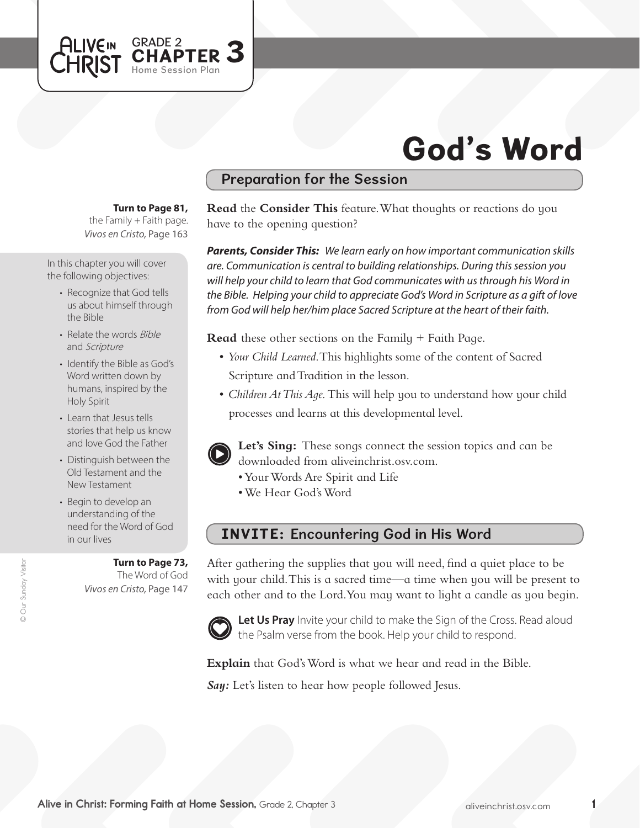

## Preparation for the Session

**Turn to Page 81,** 

GRADE 2<br>CHAPTER 3

Home Session Plan

the Family  $+$  Faith page. *Vivos en Cristo,* Page 163

In this chapter you will cover the following objectives:

**ALIVEIN** CHRIST

- Recognize that God tells us about himself through the Bible
- Relate the words Bible and Scripture
- Identify the Bible as God's Word written down by humans, inspired by the Holy Spirit
- Learn that Jesus tells stories that help us know and love God the Father
- Distinguish between the Old Testament and the New Testament
- Begin to develop an understanding of the need for the Word of God in our lives

**Turn to Page 73,** The Word of God *Vivos en Cristo,* Page 147

**Read** the **Consider This** feature. What thoughts or reactions do you have to the opening question?

*Parents, Consider This: We learn early on how important communication skills are. Communication is central to building relationships. During this session you will help your child to learn that God communicates with us through his Word in the Bible. Helping your child to appreciate God's Word in Scripture as a gift of love from God will help her/him place Sacred Scripture at the heart of their faith.* 

**Read** these other sections on the Family + Faith Page.

- • *Your Child Learned*. This highlights some of the content of Sacred Scripture and Tradition in the lesson.
- *Children At This Aqe*. This will help you to understand how your child processes and learns at this developmental level.



**Let's Sing:** These songs connect the session topics and can be downloaded from aliveinchrist.osv.com.

- • YourWords Are Spirit and Life
- • We Hear God'sWord

## INVITE: Encountering God in His Word

After gathering the supplies that you will need, find a quiet place to be with your child. This is a sacred time—a time when you will be present to each other and to the Lord.You may want to light a candle as you begin.



Let Us Pray Invite your child to make the Sign of the Cross. Read aloud the Psalm verse from the book. Help your child to respond.

**Explain** that God's Word is what we hear and read in the Bible.

**Say:** Let's listen to hear how people followed Jesus.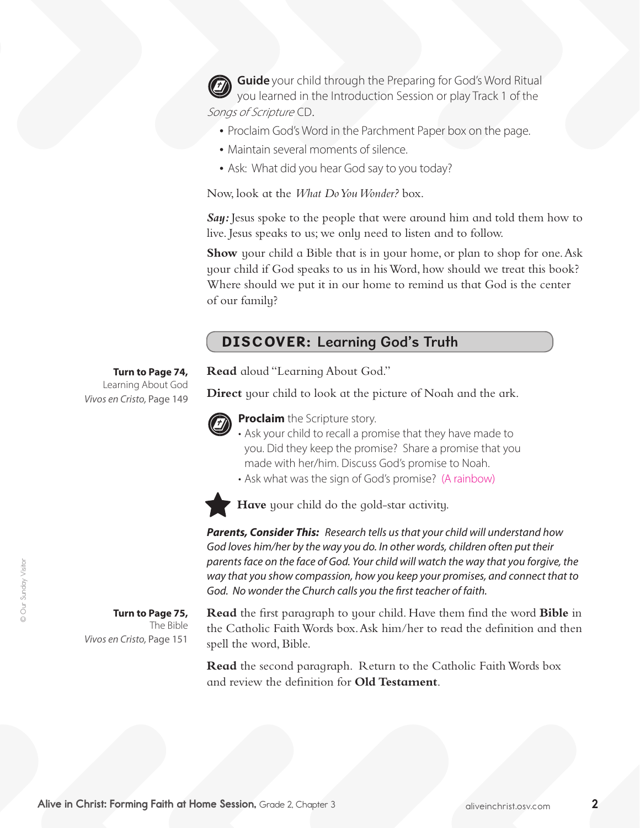**Guide** your child through the Preparing for God's Word Ritual you learned in the Introduction Session or play Track 1 of the Songs of Scripture CD.

- Proclaim God's Word in the Parchment Paper box on the page.
- Maintain several moments of silence.
- Ask: What did you hear God say to you today?

Now, look at the *What Do You Wonder?* box.

*Say:* Jesus spoke to the people that were around him and told them how to live. Jesus speaks to us; we only need to listen and to follow.

**Show** your child a Bible that is in your home, or plan to shop for one. Ask your child if God speaks to us in hisWord, how should we treat this book? Where should we put it in our home to remind us that God is the center of our family?

## DISCOVER: Learning God's Truth

**Read** aloud "Learning About God."

**Direct** your child to look at the picture of Noah and the ark.



**Proclaim** the Scripture story.

• Ask your child to recall a promise that they have made to you. Did they keep the promise? Share a promise that you made with her/him. Discuss God's promise to Noah.

• Ask what was the sign of God's promise? (A rainbow)



**Have** your child do the gold-star activity.

*Parents, Consider This: Research tells us that your child will understand how*  God loves him/her by the way you do. In other words, children often put their *parents face on the face of God. Your child will watch the way that you forgive, the way that you show compassion, how you keep your promises, and connect that to God. No wonder the Church calls you the first teacher of faith.*

**Turn to Page 75,**  The Bible *Vivos en Cristo,* Page 151

**Turn to Page 74,** Learning About God

*Vivos en Cristo,* Page 149

**Read** the first paragraph to your child. Have them find the word **Bible** in the Catholic Faith Words box. Ask him/her to read the definition and then spell the word, Bible.

**Read** the second paragraph. Return to the Catholic Faith Words box and review the definition for **Old Testament**.